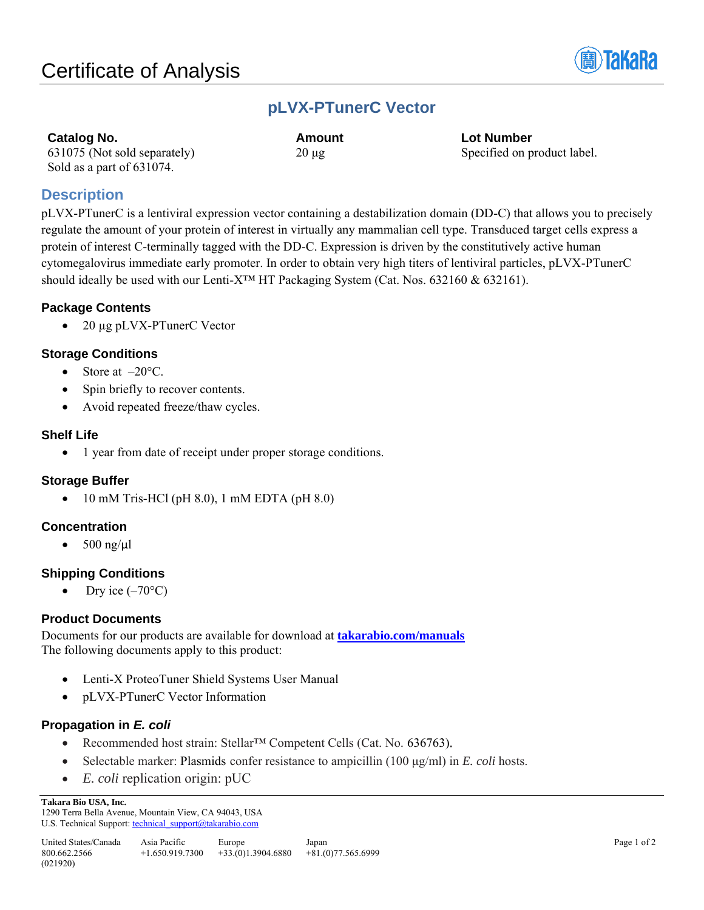

# **pLVX-PTunerC Vector**

| <b>Catalog No.</b>           | Amount     | Lot Number                  |
|------------------------------|------------|-----------------------------|
| 631075 (Not sold separately) | $20 \mu$ g | Specified on product label. |
| Sold as a part of 631074.    |            |                             |

# **Description**

pLVX-PTunerC is a lentiviral expression vector containing a destabilization domain (DD-C) that allows you to precisely regulate the amount of your protein of interest in virtually any mammalian cell type. Transduced target cells express a protein of interest C-terminally tagged with the DD-C. Expression is driven by the constitutively active human cytomegalovirus immediate early promoter. In order to obtain very high titers of lentiviral particles, pLVX-PTunerC should ideally be used with our Lenti-X<sup>™</sup> HT Packaging System (Cat. Nos. 632160 & 632161).

## **Package Contents**

• 20 µg pLVX-PTunerC Vector

## **Storage Conditions**

- Store at  $-20^{\circ}$ C.
- Spin briefly to recover contents.
- Avoid repeated freeze/thaw cycles.

### **Shelf Life**

• 1 year from date of receipt under proper storage conditions.

## **Storage Buffer**

• 10 mM Tris-HCl (pH 8.0), 1 mM EDTA (pH 8.0)

## **Concentration**

•  $500$  ng/ $\mu$ l

# **Shipping Conditions**

• Dry ice  $(-70^{\circ}C)$ 

## **Product Documents**

Documents for our products are available for download at **[takarabio.com/manuals](http://www.takarabio.com/manuals)** The following documents apply to this product:

- Lenti-X ProteoTuner Shield Systems User Manual
- pLVX-PTunerC Vector Information

## **Propagation in** *E. coli*

- Recommended host strain: Stellar™ Competent Cells (Cat. No. 636763).
- Selectable marker: Plasmids confer resistance to ampicillin (100 μg/ml) in *E. coli* hosts.
- *E. coli* replication origin: pUC

### **Takara Bio USA, Inc.**

1290 Terra Bella Avenue, Mountain View, CA 94043, USA U.S. Technical Support[: technical\\_support@takarabio.com](mailto:technical_support@takarabio.com)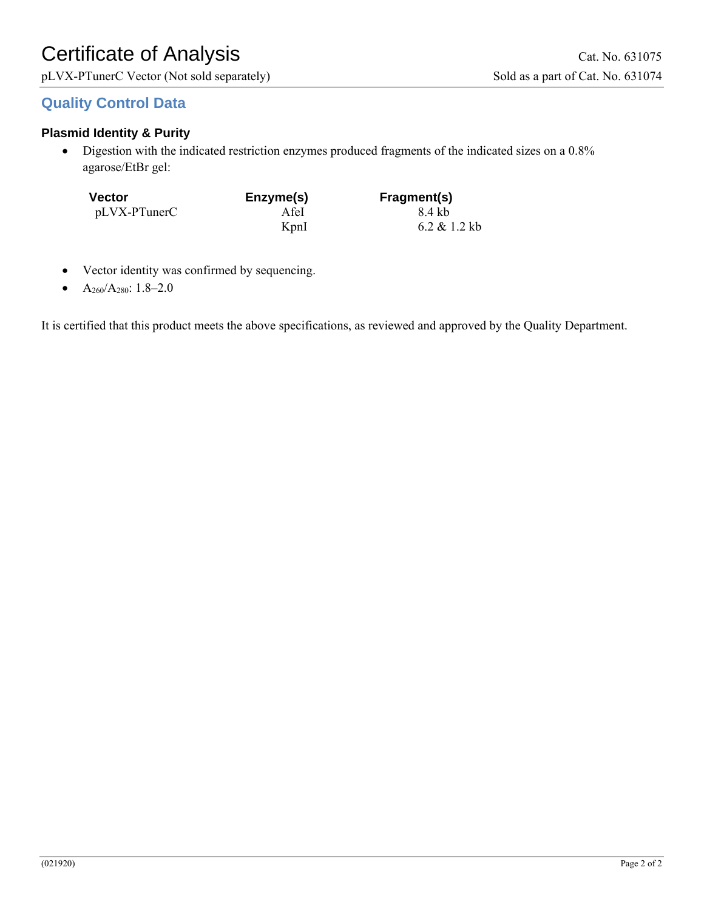pLVX-PTunerC Vector (Not sold separately) Sold as a part of Cat. No. 631074

# **Quality Control Data**

# **Plasmid Identity & Purity**

• Digestion with the indicated restriction enzymes produced fragments of the indicated sizes on a 0.8% agarose/EtBr gel:

| <b>Vector</b> | Enzyme(s) | Fragment(s)  |
|---------------|-----------|--------------|
| pLVX-PTunerC  | A fel     | 8.4 kb       |
|               | KpnI      | 6.2 & 1.2 kb |

- Vector identity was confirmed by sequencing.
- A260/A280: 1.8–2.0

It is certified that this product meets the above specifications, as reviewed and approved by the Quality Department.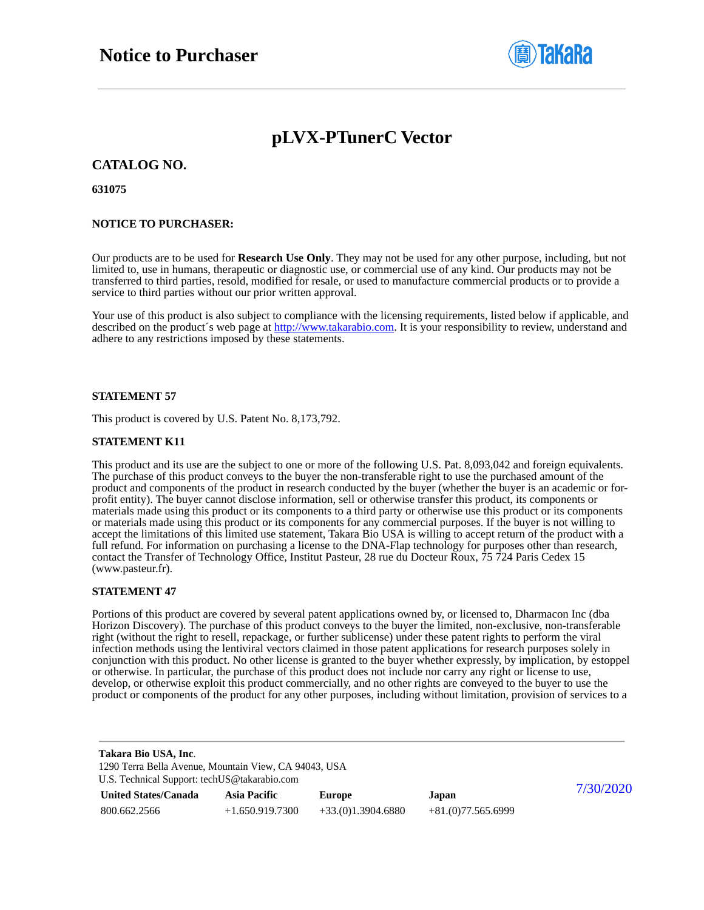

# **pLVX-PTunerC Vector**

**CATALOG NO.**

**631075**

### **NOTICE TO PURCHASER:**

Our products are to be used for **Research Use Only**. They may not be used for any other purpose, including, but not limited to, use in humans, therapeutic or diagnostic use, or commercial use of any kind. Our products may not be transferred to third parties, resold, modified for resale, or used to manufacture commercial products or to provide a service to third parties without our prior written approval.

Your use of this product is also subject to compliance with the licensing requirements, listed below if applicable, and described on the product's web page at [http://www.takarabio.com.](http://www.takarabio.com/) It is your responsibility to review, understand and adhere to any restrictions imposed by these statements.

### **STATEMENT 57**

This product is covered by U.S. Patent No. 8,173,792.

### **STATEMENT K11**

This product and its use are the subject to one or more of the following U.S. Pat. 8,093,042 and foreign equivalents. The purchase of this product conveys to the buyer the non-transferable right to use the purchased amount of the product and components of the product in research conducted by the buyer (whether the buyer is an academic or forprofit entity). The buyer cannot disclose information, sell or otherwise transfer this product, its components or materials made using this product or its components to a third party or otherwise use this product or its components or materials made using this product or its components for any commercial purposes. If the buyer is not willing to accept the limitations of this limited use statement, Takara Bio USA is willing to accept return of the product with a full refund. For information on purchasing a license to the DNA-Flap technology for purposes other than research, contact the Transfer of Technology Office, Institut Pasteur, 28 rue du Docteur Roux, 75 724 Paris Cedex 15 (www.pasteur.fr).

### **STATEMENT 47**

Portions of this product are covered by several patent applications owned by, or licensed to, Dharmacon Inc (dba Horizon Discovery). The purchase of this product conveys to the buyer the limited, non-exclusive, non-transferable right (without the right to resell, repackage, or further sublicense) under these patent rights to perform the viral infection methods using the lentiviral vectors claimed in those patent applications for research purposes solely in conjunction with this product. No other license is granted to the buyer whether expressly, by implication, by estoppel or otherwise. In particular, the purchase of this product does not include nor carry any right or license to use, develop, or otherwise exploit this product commercially, and no other rights are conveyed to the buyer to use the product or components of the product for any other purposes, including without limitation, provision of services to a

| Takara Bio USA, Inc.<br>1290 Terra Bella Avenue, Mountain View, CA 94043, USA<br>U.S. Technical Support: techUS@takarabio.com |                     |                     |                     |           |
|-------------------------------------------------------------------------------------------------------------------------------|---------------------|---------------------|---------------------|-----------|
| <b>United States/Canada</b>                                                                                                   | <b>Asia Pacific</b> | <b>Europe</b>       | Japan               | 7/30/2020 |
| 800.662.2566                                                                                                                  | $+1.650.919.7300$   | $+33(0)1.3904.6880$ | $+81(0)77.565.6999$ |           |